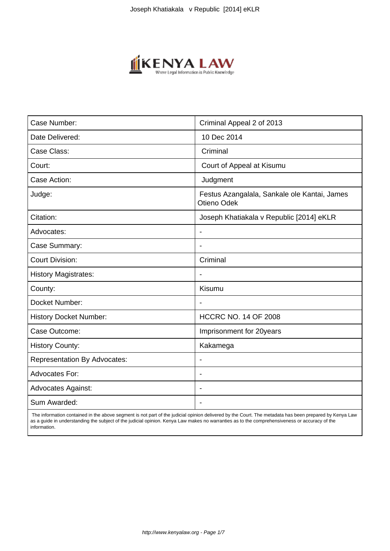

| Case Number:                        | Criminal Appeal 2 of 2013                                   |
|-------------------------------------|-------------------------------------------------------------|
| Date Delivered:                     | 10 Dec 2014                                                 |
| Case Class:                         | Criminal                                                    |
| Court:                              | Court of Appeal at Kisumu                                   |
| Case Action:                        | Judgment                                                    |
| Judge:                              | Festus Azangalala, Sankale ole Kantai, James<br>Otieno Odek |
| Citation:                           | Joseph Khatiakala v Republic [2014] eKLR                    |
| Advocates:                          |                                                             |
| Case Summary:                       |                                                             |
| <b>Court Division:</b>              | Criminal                                                    |
| <b>History Magistrates:</b>         | $\blacksquare$                                              |
| County:                             | Kisumu                                                      |
| Docket Number:                      |                                                             |
| <b>History Docket Number:</b>       | <b>HCCRC NO. 14 OF 2008</b>                                 |
| Case Outcome:                       | Imprisonment for 20years                                    |
| <b>History County:</b>              | Kakamega                                                    |
| <b>Representation By Advocates:</b> | ٠                                                           |
| Advocates For:                      | $\overline{\phantom{a}}$                                    |
| <b>Advocates Against:</b>           |                                                             |
| Sum Awarded:                        |                                                             |

 The information contained in the above segment is not part of the judicial opinion delivered by the Court. The metadata has been prepared by Kenya Law as a guide in understanding the subject of the judicial opinion. Kenya Law makes no warranties as to the comprehensiveness or accuracy of the information.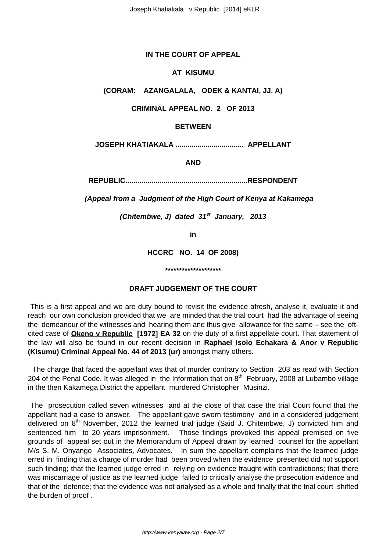### **IN THE COURT OF APPEAL**

#### **AT KISUMU**

## **(CORAM: AZANGALALA, ODEK & KANTAI, JJ. A)**

#### **CRIMINAL APPEAL NO. 2 OF 2013**

#### **BETWEEN**

**JOSEPH KHATIAKALA .................................. APPELLANT**

**AND**

**REPUBLIC.............................................................RESPONDENT**

 **(Appeal from a Judgment of the High Court of Kenya at Kakamega**

**(Chitembwe, J) dated 31st January, 2013**

**in**

**HCCRC NO. 14 OF 2008)**

**\*\*\*\*\*\*\*\*\*\*\*\*\*\*\*\*\*\*\*\***

#### **DRAFT JUDGEMENT OF THE COURT**

This is a first appeal and we are duty bound to revisit the evidence afresh, analyse it, evaluate it and reach our own conclusion provided that we are minded that the trial court had the advantage of seeing the demeanour of the witnesses and hearing them and thus give allowance for the same – see the oftcited case of **Okeno v Republic [1972] EA 32** on the duty of a first appellate court. That statement of the law will also be found in our recent decision in **Raphael Isolo Echakara & Anor v Republic (Kisumu) Criminal Appeal No. 44 of 2013 (ur)** amongst many others.

 The charge that faced the appellant was that of murder contrary to Section 203 as read with Section 204 of the Penal Code. It was alleged in the Information that on  $8<sup>th</sup>$  February, 2008 at Lubambo village in the then Kakamega District the appellant murdered Christopher Musinzi.

The prosecution called seven witnesses and at the close of that case the trial Court found that the appellant had a case to answer. The appellant gave sworn testimony and in a considered judgement delivered on  $8<sup>th</sup>$  November, 2012 the learned trial judge (Said J. Chitembwe, J) convicted him and sentenced him to 20 years imprisonment. Those findings provoked this appeal premised on five grounds of appeal set out in the Memorandum of Appeal drawn by learned counsel for the appellant M/s S. M. Onyango Associates, Advocates. In sum the appellant complains that the learned judge erred in finding that a charge of murder had been proved when the evidence presented did not support such finding; that the learned judge erred in relying on evidence fraught with contradictions; that there was miscarriage of justice as the learned judge failed to critically analyse the prosecution evidence and that of the defence; that the evidence was not analysed as a whole and finally that the trial court shifted the burden of proof .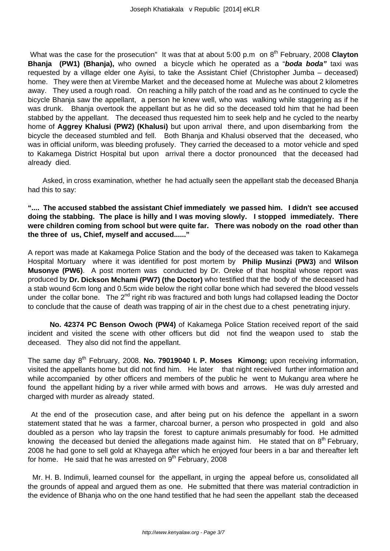What was the case for the prosecution" It was that at about 5:00 p.m on 8<sup>th</sup> February, 2008 **Clayton Bhanja (PW1) (Bhanja),** who owned a bicycle which he operated as a "**boda boda"** taxi was requested by a village elder one Ayisi, to take the Assistant Chief (Christopher Jumba – deceased) home. They were then at Virembe Market and the deceased home at Muleche was about 2 kilometres away. They used a rough road. On reaching a hilly patch of the road and as he continued to cycle the bicycle Bhanja saw the appellant, a person he knew well, who was walking while staggering as if he was drunk. Bhanja overtook the appellant but as he did so the deceased told him that he had been stabbed by the appellant. The deceased thus requested him to seek help and he cycled to the nearby home of **Aggrey Khalusi (PW2) (Khalusi)** but upon arrival there, and upon disembarking from the bicycle the deceased stumbled and fell. Both Bhanja and Khalusi observed that the deceased, who was in official uniform, was bleeding profusely. They carried the deceased to a motor vehicle and sped to Kakamega District Hospital but upon arrival there a doctor pronounced that the deceased had already died.

 Asked, in cross examination, whether he had actually seen the appellant stab the deceased Bhanja had this to say:

**".... The accused stabbed the assistant Chief immediately we passed him. I didn't see accused doing the stabbing. The place is hilly and I was moving slowly. I stopped immediately. There were children coming from school but were quite far. There was nobody on the road other than the three of us, Chief, myself and accused......"**

A report was made at Kakamega Police Station and the body of the deceased was taken to Kakamega Hospital Mortuary where it was identified for post mortem by **Philip Musinzi (PW3)** and **Wilson Musonye (PW6)**. A post mortem was conducted by Dr. Oreke of that hospital whose report was produced by **Dr. Dickson Mchami (PW7) (the Doctor)** who testified that the body of the deceased had a stab wound 6cm long and 0.5cm wide below the right collar bone which had severed the blood vessels under the collar bone. The 2<sup>nd</sup> right rib was fractured and both lungs had collapsed leading the Doctor to conclude that the cause of death was trapping of air in the chest due to a chest penetrating injury.

**No. 42374 PC Benson Owoch (PW4)** of Kakamega Police Station received report of the said incident and visited the scene with other officers but did not find the weapon used to stab the deceased. They also did not find the appellant.

The same day 8<sup>th</sup> February, 2008. **No. 79019040 I. P. Moses Kimong**; upon receiving information, visited the appellants home but did not find him. He later that night received further information and while accompanied by other officers and members of the public he went to Mukangu area where he found the appellant hiding by a river while armed with bows and arrows. He was duly arrested and charged with murder as already stated.

At the end of the prosecution case, and after being put on his defence the appellant in a sworn statement stated that he was a farmer, charcoal burner, a person who prospected in gold and also doubled as a person who lay trapsin the forest to capture animals presumably for food. He admitted knowing the deceased but denied the allegations made against him. He stated that on  $8<sup>th</sup>$  February, 2008 he had gone to sell gold at Khayega after which he enjoyed four beers in a bar and thereafter left for home. He said that he was arrested on  $9<sup>th</sup>$  February, 2008

 Mr. H. B. Indimuli, learned counsel for the appellant, in urging the appeal before us, consolidated all the grounds of appeal and argued them as one. He submitted that there was material contradiction in the evidence of Bhanja who on the one hand testified that he had seen the appellant stab the deceased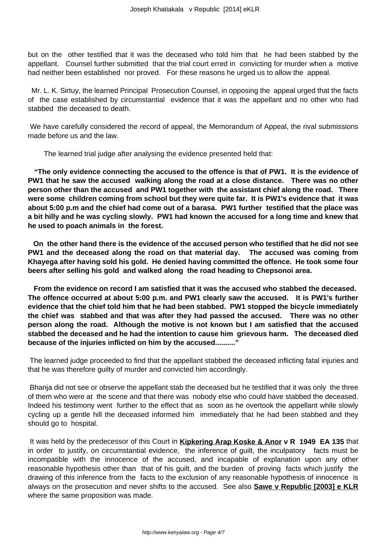but on the other testified that it was the deceased who told him that he had been stabbed by the appellant. Counsel further submitted that the trial court erred in convicting for murder when a motive had neither been established nor proved. For these reasons he urged us to allow the appeal.

 Mr. L. K. Sirtuy, the learned Principal Prosecution Counsel, in opposing the appeal urged that the facts of the case established by circumstantial evidence that it was the appellant and no other who had stabbed the deceased to death.

We have carefully considered the record of appeal, the Memorandum of Appeal, the rival submissions made before us and the law.

The learned trial judge after analysing the evidence presented held that:

**"The only evidence connecting the accused to the offence is that of PW1. It is the evidence of PW1 that he saw the accused walking along the road at a close distance. There was no other person other than the accused and PW1 together with the assistant chief along the road. There were some children coming from school but they were quite far. It is PW1's evidence that it was about 5:00 p.m and the chief had come out of a barasa. PW1 further testified that the place was a bit hilly and he was cycling slowly. PW1 had known the accused for a long time and knew that he used to poach animals in the forest.**

 **On the other hand there is the evidence of the accused person who testified that he did not see PW1 and the deceased along the road on that material day. The accused was coming from Khayega after having sold his gold. He denied having committed the offence. He took some four beers after selling his gold and walked along the road heading to Chepsonoi area.**

 **From the evidence on record I am satisfied that it was the accused who stabbed the deceased. The offence occurred at about 5:00 p.m. and PW1 clearly saw the accused. It is PW1's further evidence that the chief told him that he had been stabbed. PW1 stopped the bicycle immediately the chief was stabbed and that was after they had passed the accused. There was no other person along the road. Although the motive is not known but I am satisfied that the accused stabbed the deceased and he had the intention to cause him grievous harm. The deceased died because of the injuries inflicted on him by the accused.........."**

The learned judge proceeded to find that the appellant stabbed the deceased inflicting fatal injuries and that he was therefore guilty of murder and convicted him accordingly.

Bhanja did not see or observe the appellant stab the deceased but he testified that it was only the three of them who were at the scene and that there was nobody else who could have stabbed the deceased. Indeed his testimony went further to the effect that as soon as he overtook the appellant while slowly cycling up a gentle hill the deceased informed him immediately that he had been stabbed and they should go to hospital.

It was held by the predecessor of this Court in **Kipkering Arap Koske & Anor v R 1949 EA 135** that in order to justify, on circumstantial evidence, the inference of guilt, the inculpatory facts must be incompatible with the innocence of the accused, and incapable of explanation upon any other reasonable hypothesis other than that of his guilt, and the burden of proving facts which justify the drawing of this inference from the facts to the exclusion of any reasonable hypothesis of innocence is always on the prosecution and never shifts to the accused. See also **Sawe v Republic [2003] e KLR** where the same proposition was made.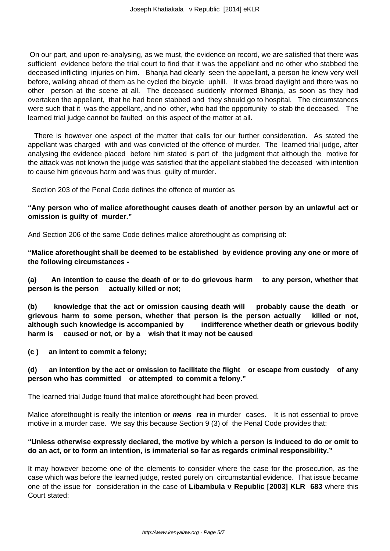On our part, and upon re-analysing, as we must, the evidence on record, we are satisfied that there was sufficient evidence before the trial court to find that it was the appellant and no other who stabbed the deceased inflicting injuries on him. Bhanja had clearly seen the appellant, a person he knew very well before, walking ahead of them as he cycled the bicycle uphill. It was broad daylight and there was no other person at the scene at all. The deceased suddenly informed Bhanja, as soon as they had overtaken the appellant, that he had been stabbed and they should go to hospital. The circumstances were such that it was the appellant, and no other, who had the opportunity to stab the deceased. The learned trial judge cannot be faulted on this aspect of the matter at all.

 There is however one aspect of the matter that calls for our further consideration. As stated the appellant was charged with and was convicted of the offence of murder. The learned trial judge, after analysing the evidence placed before him stated is part of the judgment that although the motive for the attack was not known the judge was satisfied that the appellant stabbed the deceased with intention to cause him grievous harm and was thus guilty of murder.

Section 203 of the Penal Code defines the offence of murder as

## **"Any person who of malice aforethought causes death of another person by an unlawful act or omission is guilty of murder."**

And Section 206 of the same Code defines malice aforethought as comprising of:

**"Malice aforethought shall be deemed to be established by evidence proving any one or more of the following circumstances -** 

**(a) An intention to cause the death of or to do grievous harm to any person, whether that person is the person actually killed or not;** 

**(b) knowledge that the act or omission causing death will probably cause the death or grievous harm to some person, whether that person is the person actually killed or not, although such knowledge is accompanied by indifference whether death or grievous bodily harm is caused or not, or by a wish that it may not be caused**

**(c ) an intent to commit a felony;**

## **(d) an intention by the act or omission to facilitate the flight or escape from custody of any person who has committed or attempted to commit a felony."**

The learned trial Judge found that malice aforethought had been proved.

Malice aforethought is really the intention or **mens rea** in murder cases. It is not essential to prove motive in a murder case. We say this because Section 9 (3) of the Penal Code provides that:

## **"Unless otherwise expressly declared, the motive by which a person is induced to do or omit to do an act, or to form an intention, is immaterial so far as regards criminal responsibility."**

It may however become one of the elements to consider where the case for the prosecution, as the case which was before the learned judge, rested purely on circumstantial evidence. That issue became one of the issue for consideration in the case of **Libambula v Republic [2003] KLR 683** where this Court stated: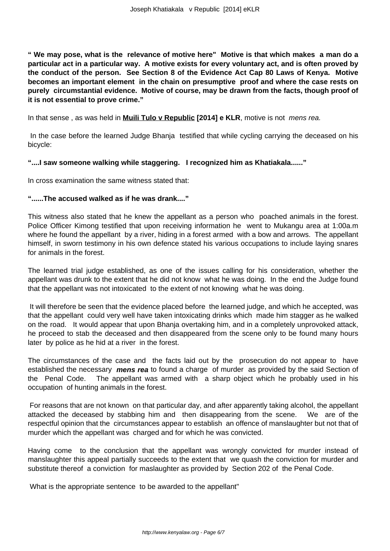**" We may pose, what is the relevance of motive here" Motive is that which makes a man do a particular act in a particular way. A motive exists for every voluntary act, and is often proved by the conduct of the person. See Section 8 of the Evidence Act Cap 80 Laws of Kenya. Motive becomes an important element in the chain on presumptive proof and where the case rests on purely circumstantial evidence. Motive of course, may be drawn from the facts, though proof of it is not essential to prove crime."**

In that sense, as was held in **Muili Tulo v Republic** [2014] e KLR, motive is not *mens rea.* 

In the case before the learned Judge Bhanja testified that while cycling carrying the deceased on his bicycle:

#### **"....I saw someone walking while staggering. I recognized him as Khatiakala......"**

In cross examination the same witness stated that:

#### **"......The accused walked as if he was drank...."**

This witness also stated that he knew the appellant as a person who poached animals in the forest. Police Officer Kimong testified that upon receiving information he went to Mukangu area at 1:00a.m where he found the appellant by a river, hiding in a forest armed with a bow and arrows. The appellant himself, in sworn testimony in his own defence stated his various occupations to include laying snares for animals in the forest.

The learned trial judge established, as one of the issues calling for his consideration, whether the appellant was drunk to the extent that he did not know what he was doing. In the end the Judge found that the appellant was not intoxicated to the extent of not knowing what he was doing.

It will therefore be seen that the evidence placed before the learned judge, and which he accepted, was that the appellant could very well have taken intoxicating drinks which made him stagger as he walked on the road. It would appear that upon Bhanja overtaking him, and in a completely unprovoked attack, he proceed to stab the deceased and then disappeared from the scene only to be found many hours later by police as he hid at a river in the forest.

The circumstances of the case and the facts laid out by the prosecution do not appear to have established the necessary **mens rea** to found a charge of murder as provided by the said Section of the Penal Code. The appellant was armed with a sharp object which he probably used in his occupation of hunting animals in the forest.

For reasons that are not known on that particular day, and after apparently taking alcohol, the appellant attacked the deceased by stabbing him and then disappearing from the scene. We are of the respectful opinion that the circumstances appear to establish an offence of manslaughter but not that of murder which the appellant was charged and for which he was convicted.

Having come to the conclusion that the appellant was wrongly convicted for murder instead of manslaughter this appeal partially succeeds to the extent that we quash the conviction for murder and substitute thereof a conviction for maslaughter as provided by Section 202 of the Penal Code.

What is the appropriate sentence to be awarded to the appellant"